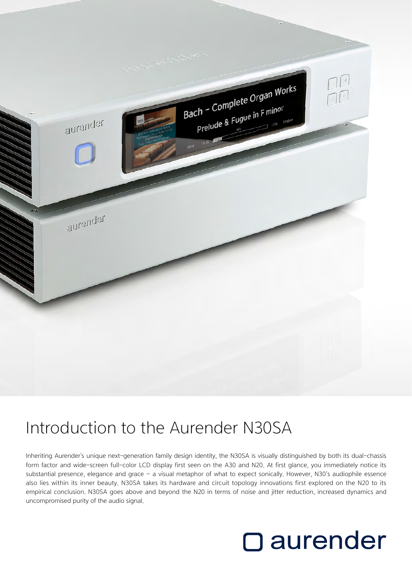

## Introduction to the Aurender N30SA

Inheriting Aurender's unique next-generation family design identity, the N30SA is visually distinguished by both its dual-chassis form factor and wide-screen full-color LCD display first seen on the A30 and N20. At first glance, you immediately notice its substantial presence, elegance and grace – a visual metaphor of what to expect sonically. However, N30's audiophile essence also lies within its inner beauty. N30SA takes its hardware and circuit topology innovations first explored on the N20 to its empirical conclusion. N30SA goes above and beyond the N20 in terms of noise and jitter reduction, increased dynamics and uncompromised purity of the audio signal.

# **O** aurender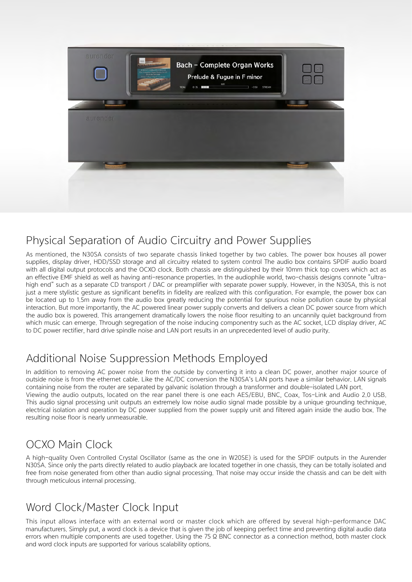

#### Physical Separation of Audio Circuitry and Power Supplies

As mentioned, the N30SA consists of two separate chassis linked together by two cables. The power box houses all power supplies, display driver, HDD/SSD storage and all circuitry related to system control The audio box contains SPDIF audio board with all digital output protocols and the OCXO clock. Both chassis are distinguished by their 10mm thick top covers which act as an effective EMF shield as well as having anti-resonance properties. In the audiophile world, two-chassis designs connote "ultrahigh end" such as a separate CD transport / DAC or preamplifier with separate power supply. However, in the N30SA, this is not just a mere stylistic gesture as significant benefits in fidelity are realized with this configuration. For example, the power box can be located up to 1.5m away from the audio box greatly reducing the potential for spurious noise pollution cause by physical interaction. But more importantly, the AC powered linear power supply converts and delivers a clean DC power source from which the audio box is powered. This arrangement dramatically lowers the noise floor resulting to an uncannily quiet background from which music can emerge. Through segregation of the noise inducing componentry such as the AC socket, LCD display driver, AC to DC power rectifier, hard drive spindle noise and LAN port results in an unprecedented level of audio purity.

#### Additional Noise Suppression Methods Employed

In addition to removing AC power noise from the outside by converting it into a clean DC power, another major source of outside noise is from the ethernet cable. Like the AC/DC conversion the N30SA's LAN ports have a similar behavior. LAN signals containing noise from the router are separated by galvanic isolation through a transformer and double-isolated LAN port. Viewing the audio outputs, located on the rear panel there is one each AES/EBU, BNC, Coax, Tos-Link and Audio 2.0 USB. This audio signal processing unit outputs an extremely low noise audio signal made possible by a unique grounding technique, electrical isolation and operation by DC power supplied from the power supply unit and filtered again inside the audio box. The resulting noise floor is nearly unmeasurable.

#### OCXO Main Clock

A high-quality Oven Controlled Crystal Oscillator (same as the one in W20SE) is used for the SPDIF outputs in the Aurender N30SA. Since only the parts directly related to audio playback are located together in one chassis, they can be totally isolated and free from noise generated from other than audio signal processing. That noise may occur inside the chassis and can be delt with through meticulous internal processing.

#### Word Clock/Master Clock Input

This input allows interface with an external word or master clock which are offered by several high-performance DAC manufacturers. Simply put, a word clock is a device that is given the job of keeping perfect time and preventing digital audio data errors when multiple components are used together. Using the 75  $\Omega$  BNC connector as a connection method, both master clock and word clock inputs are supported for various scalability options.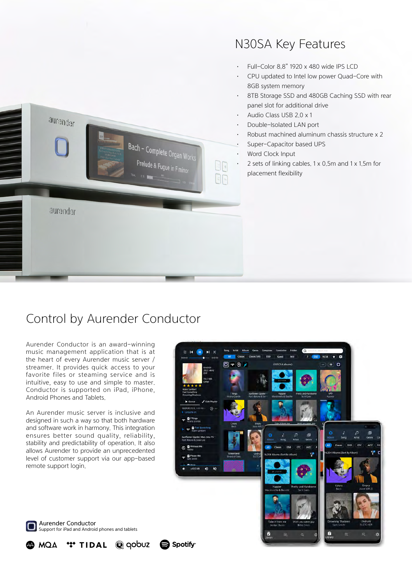

### N30SA Key Features

- Full-Color 8.8" 1920 x 480 wide IPS LCD
- CPU updated to Intel low power Quad-Core with 8GB system memory
- 8TB Storage SSD and 480GB Caching SSD with rear panel slot for additional drive
- Audio Class USB 2.0 x 1
- Double-Isolated LAN port
- Robust machined aluminum chassis structure x 2
- Super-Capacitor based UPS
- Word Clock Input
- 2 sets of linking cables. 1 x 0.5m and 1 x 1.5m for placement flexibility

### Control by Aurender Conductor

Aurender Conductor is an award-winning music management application that is at the heart of every Aurender music server / streamer. It provides quick access to your favorite files or steaming service and is intuitive, easy to use and simple to master. Conductor is supported on iPad, iPhone, Android Phones and Tablets.

An Aurender music server is inclusive and designed in such a way so that both hardware and software work in harmony. This integration ensures better sound quality, reliability, stability and predictability of operation. It also allows Aurender to provide an unprecedented level of customer support via our app-based remote support login.





**MQA** 

\*\*\* TIDAL



 $\mathbf{Q}$  gobuz